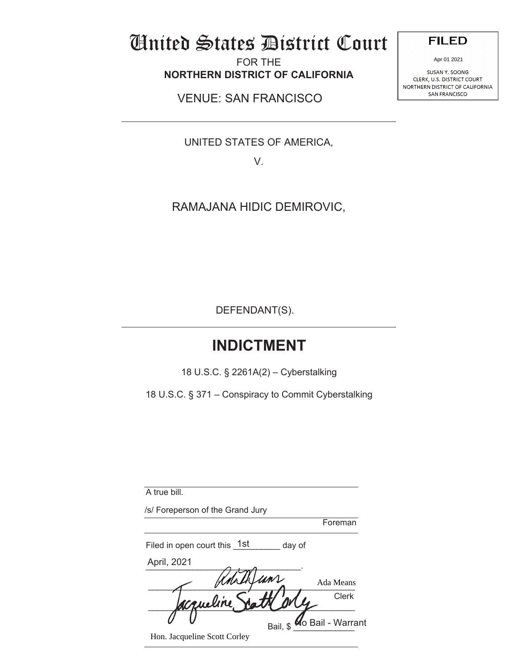# United States District Court

FOR THE **NORTHERN DISTRICT OF CALIFORNIA** 

VENUE: SAN FRANCISCO

UNITED STATES OF AMERICA,

V.

RAMAJANA HIDIC DEMIROVIC,

DEFENDANT(S).

## **INDICTMENT**

18 U.S.C. § 2261A(2) – Cyberstalking

18 U.S.C. § 371 – Conspiracy to Commit Cyberstalking

| A true bill.                     |          |                          |
|----------------------------------|----------|--------------------------|
| /s/ Foreperson of the Grand Jury |          |                          |
|                                  |          | Foreman                  |
| Filed in open court this 1st     | day of   |                          |
| April, 2021                      |          |                          |
|                                  |          | Ada Means                |
| concline                         |          | Clerk                    |
|                                  | Bail, \$ | <b>Ko Bail - Warrant</b> |
| Hon. Jacqueline Scott Corley     |          |                          |

**FILED** 

SUSANY. SOONG CLERK, U.S. DISTRICT COURT NORTHERN DISTRICT OF CALIFORNIA Apr 01 2021<br>SUSAN Y. SOONG<br>C, U.S. DISTRICT OF<br>N DISTRICT OF CA<br>SAN FRANCISCO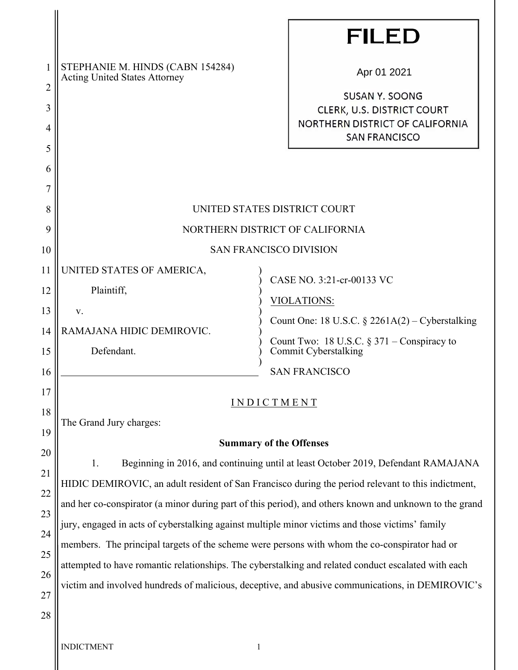|                |                                                                                                                                                                                                         |                                                                                                                 | <b>FILED</b>                                                         |  |  |
|----------------|---------------------------------------------------------------------------------------------------------------------------------------------------------------------------------------------------------|-----------------------------------------------------------------------------------------------------------------|----------------------------------------------------------------------|--|--|
| 1              | STEPHANIE M. HINDS (CABN 154284)<br><b>Acting United States Attorney</b>                                                                                                                                |                                                                                                                 | Apr 01 2021                                                          |  |  |
| $\overline{2}$ |                                                                                                                                                                                                         |                                                                                                                 | <b>SUSAN Y. SOONG</b>                                                |  |  |
| 3              |                                                                                                                                                                                                         |                                                                                                                 | <b>CLERK, U.S. DISTRICT COURT</b><br>NORTHERN DISTRICT OF CALIFORNIA |  |  |
| 4              |                                                                                                                                                                                                         |                                                                                                                 | <b>SAN FRANCISCO</b>                                                 |  |  |
| 5              |                                                                                                                                                                                                         |                                                                                                                 |                                                                      |  |  |
| 6<br>7         |                                                                                                                                                                                                         |                                                                                                                 |                                                                      |  |  |
| 8              | UNITED STATES DISTRICT COURT                                                                                                                                                                            |                                                                                                                 |                                                                      |  |  |
| 9              | NORTHERN DISTRICT OF CALIFORNIA                                                                                                                                                                         |                                                                                                                 |                                                                      |  |  |
|                |                                                                                                                                                                                                         |                                                                                                                 |                                                                      |  |  |
| 10             | <b>SAN FRANCISCO DIVISION</b>                                                                                                                                                                           |                                                                                                                 |                                                                      |  |  |
| 11             | UNITED STATES OF AMERICA,                                                                                                                                                                               |                                                                                                                 | CASE NO. 3:21-cr-00133 VC                                            |  |  |
| 12             | Plaintiff,                                                                                                                                                                                              | VIOLATIONS:<br>Count One: 18 U.S.C. § 2261A(2) – Cyberstalking<br>Count Two: 18 U.S.C. $\S 371$ – Conspiracy to |                                                                      |  |  |
| 13             | V.                                                                                                                                                                                                      |                                                                                                                 |                                                                      |  |  |
| 14             | RAMAJANA HIDIC DEMIROVIC.                                                                                                                                                                               |                                                                                                                 |                                                                      |  |  |
| 15             | Defendant.                                                                                                                                                                                              |                                                                                                                 | Commit Cyberstalking<br><b>SAN FRANCISCO</b>                         |  |  |
| 16             |                                                                                                                                                                                                         |                                                                                                                 |                                                                      |  |  |
| 17             | INDICTMENT                                                                                                                                                                                              |                                                                                                                 |                                                                      |  |  |
| 18             | The Grand Jury charges:                                                                                                                                                                                 |                                                                                                                 |                                                                      |  |  |
| 19             | <b>Summary of the Offenses</b>                                                                                                                                                                          |                                                                                                                 |                                                                      |  |  |
| 20             | 1.<br>Beginning in 2016, and continuing until at least October 2019, Defendant RAMAJANA                                                                                                                 |                                                                                                                 |                                                                      |  |  |
| 21             | HIDIC DEMIROVIC, an adult resident of San Francisco during the period relevant to this indictment,                                                                                                      |                                                                                                                 |                                                                      |  |  |
| 22             | and her co-conspirator (a minor during part of this period), and others known and unknown to the grand                                                                                                  |                                                                                                                 |                                                                      |  |  |
| 23             | jury, engaged in acts of cyberstalking against multiple minor victims and those victims' family                                                                                                         |                                                                                                                 |                                                                      |  |  |
| 24             | members. The principal targets of the scheme were persons with whom the co-conspirator had or                                                                                                           |                                                                                                                 |                                                                      |  |  |
| 25             | attempted to have romantic relationships. The cyberstalking and related conduct escalated with each<br>victim and involved hundreds of malicious, deceptive, and abusive communications, in DEMIROVIC's |                                                                                                                 |                                                                      |  |  |
| 26             |                                                                                                                                                                                                         |                                                                                                                 |                                                                      |  |  |
| 27             |                                                                                                                                                                                                         |                                                                                                                 |                                                                      |  |  |
| 28             |                                                                                                                                                                                                         |                                                                                                                 |                                                                      |  |  |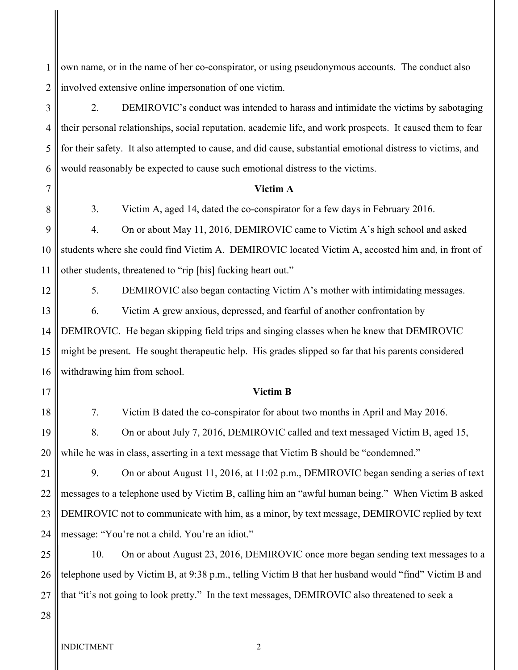1 2 own name, or in the name of her co-conspirator, or using pseudonymous accounts. The conduct also involved extensive online impersonation of one victim.

3 4 5 6 2. DEMIROVIC's conduct was intended to harass and intimidate the victims by sabotaging their personal relationships, social reputation, academic life, and work prospects. It caused them to fear for their safety. It also attempted to cause, and did cause, substantial emotional distress to victims, and would reasonably be expected to cause such emotional distress to the victims.

#### **Victim A**

3. Victim A, aged 14, dated the co-conspirator for a few days in February 2016.

9 10 11 4. On or about May 11, 2016, DEMIROVIC came to Victim A's high school and asked students where she could find Victim A. DEMIROVIC located Victim A, accosted him and, in front of other students, threatened to "rip [his] fucking heart out."

12

13

7

8

5. DEMIROVIC also began contacting Victim A's mother with intimidating messages. 6. Victim A grew anxious, depressed, and fearful of another confrontation by

14 15 16 DEMIROVIC. He began skipping field trips and singing classes when he knew that DEMIROVIC might be present. He sought therapeutic help. His grades slipped so far that his parents considered withdrawing him from school.

17

### 18

7. Victim B dated the co-conspirator for about two months in April and May 2016.

**Victim B**

19 20 8. On or about July 7, 2016, DEMIROVIC called and text messaged Victim B, aged 15, while he was in class, asserting in a text message that Victim B should be "condemned."

21 22 23 24 9. On or about August 11, 2016, at 11:02 p.m., DEMIROVIC began sending a series of text messages to a telephone used by Victim B, calling him an "awful human being." When Victim B asked DEMIROVIC not to communicate with him, as a minor, by text message, DEMIROVIC replied by text message: "You're not a child. You're an idiot."

25 26 27 10. On or about August 23, 2016, DEMIROVIC once more began sending text messages to a telephone used by Victim B, at 9:38 p.m., telling Victim B that her husband would "find" Victim B and that "it's not going to look pretty." In the text messages, DEMIROVIC also threatened to seek a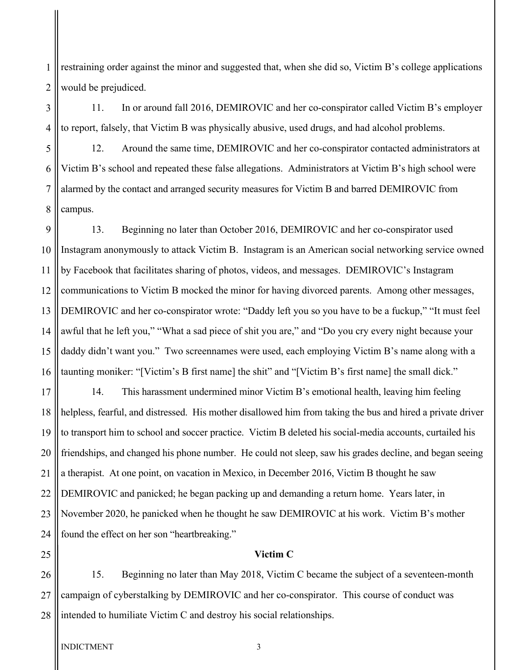1 2 restraining order against the minor and suggested that, when she did so, Victim B's college applications would be prejudiced.

3 4 11. In or around fall 2016, DEMIROVIC and her co-conspirator called Victim B's employer to report, falsely, that Victim B was physically abusive, used drugs, and had alcohol problems.

5 6 7 8 12. Around the same time, DEMIROVIC and her co-conspirator contacted administrators at Victim B's school and repeated these false allegations. Administrators at Victim B's high school were alarmed by the contact and arranged security measures for Victim B and barred DEMIROVIC from campus.

 $\overline{Q}$ 10 11 12 13 14 15 16 13. Beginning no later than October 2016, DEMIROVIC and her co-conspirator used Instagram anonymously to attack Victim B. Instagram is an American social networking service owned by Facebook that facilitates sharing of photos, videos, and messages. DEMIROVIC's Instagram communications to Victim B mocked the minor for having divorced parents. Among other messages, DEMIROVIC and her co-conspirator wrote: "Daddy left you so you have to be a fuckup," "It must feel awful that he left you," "What a sad piece of shit you are," and "Do you cry every night because your daddy didn't want you." Two screennames were used, each employing Victim B's name along with a taunting moniker: "[Victim's B first name] the shit" and "[Victim B's first name] the small dick."

17 18 19 20 21 22 23 24 14. This harassment undermined minor Victim B's emotional health, leaving him feeling helpless, fearful, and distressed. His mother disallowed him from taking the bus and hired a private driver to transport him to school and soccer practice. Victim B deleted his social-media accounts, curtailed his friendships, and changed his phone number. He could not sleep, saw his grades decline, and began seeing a therapist. At one point, on vacation in Mexico, in December 2016, Victim B thought he saw DEMIROVIC and panicked; he began packing up and demanding a return home. Years later, in November 2020, he panicked when he thought he saw DEMIROVIC at his work. Victim B's mother found the effect on her son "heartbreaking."

**Victim C** 

26 27 28 15. Beginning no later than May 2018, Victim C became the subject of a seventeen-month campaign of cyberstalking by DEMIROVIC and her co-conspirator. This course of conduct was intended to humiliate Victim C and destroy his social relationships.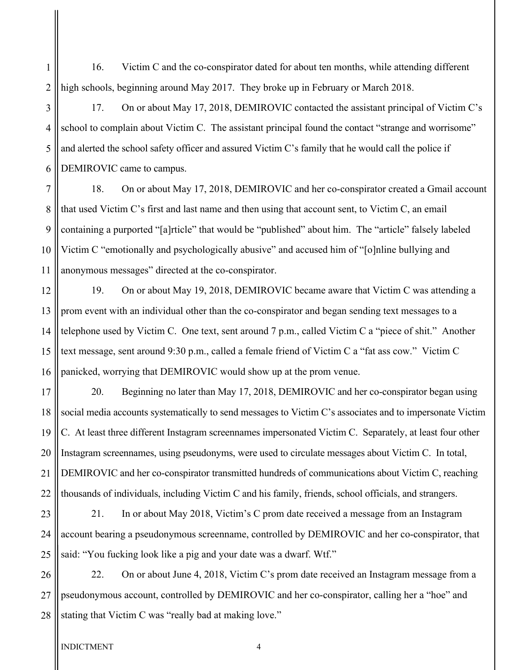1 2 16. Victim C and the co-conspirator dated for about ten months, while attending different high schools, beginning around May 2017. They broke up in February or March 2018.

3 4 5 6 17. On or about May 17, 2018, DEMIROVIC contacted the assistant principal of Victim C's school to complain about Victim C. The assistant principal found the contact "strange and worrisome" and alerted the school safety officer and assured Victim C's family that he would call the police if DEMIROVIC came to campus.

7 8 9 10 11 18. On or about May 17, 2018, DEMIROVIC and her co-conspirator created a Gmail account that used Victim C's first and last name and then using that account sent, to Victim C, an email containing a purported "[a]rticle" that would be "published" about him. The "article" falsely labeled Victim C "emotionally and psychologically abusive" and accused him of "[o]nline bullying and anonymous messages" directed at the co-conspirator.

12 13 14 15 16 19. On or about May 19, 2018, DEMIROVIC became aware that Victim C was attending a prom event with an individual other than the co-conspirator and began sending text messages to a telephone used by Victim C. One text, sent around 7 p.m., called Victim C a "piece of shit." Another text message, sent around 9:30 p.m., called a female friend of Victim C a "fat ass cow." Victim C panicked, worrying that DEMIROVIC would show up at the prom venue.

17 18 19 20 21 22 20. Beginning no later than May 17, 2018, DEMIROVIC and her co-conspirator began using social media accounts systematically to send messages to Victim C's associates and to impersonate Victim C. At least three different Instagram screennames impersonated Victim C. Separately, at least four other Instagram screennames, using pseudonyms, were used to circulate messages about Victim C. In total, DEMIROVIC and her co-conspirator transmitted hundreds of communications about Victim C, reaching thousands of individuals, including Victim C and his family, friends, school officials, and strangers.

23 24 25 21. In or about May 2018, Victim's C prom date received a message from an Instagram account bearing a pseudonymous screenname, controlled by DEMIROVIC and her co-conspirator, that said: "You fucking look like a pig and your date was a dwarf. Wtf."

26 27 28 22. On or about June 4, 2018, Victim C's prom date received an Instagram message from a pseudonymous account, controlled by DEMIROVIC and her co-conspirator, calling her a "hoe" and stating that Victim C was "really bad at making love."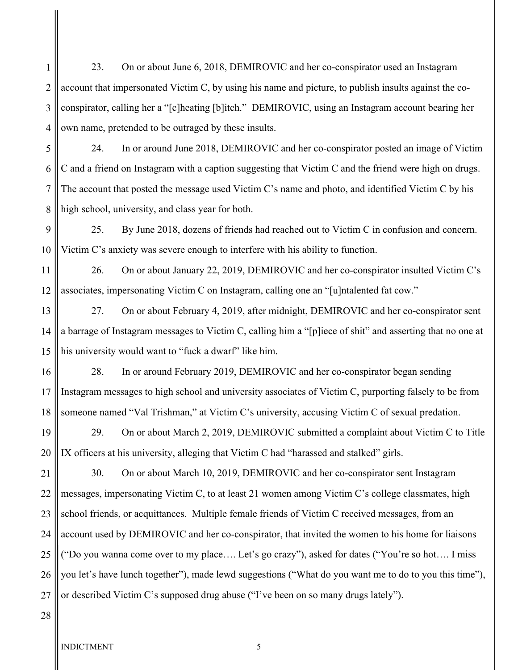1 2 3 4 23. On or about June 6, 2018, DEMIROVIC and her co-conspirator used an Instagram account that impersonated Victim C, by using his name and picture, to publish insults against the coconspirator, calling her a "[c]heating [b]itch." DEMIROVIC, using an Instagram account bearing her own name, pretended to be outraged by these insults.

5 6 7 8 24. In or around June 2018, DEMIROVIC and her co-conspirator posted an image of Victim C and a friend on Instagram with a caption suggesting that Victim C and the friend were high on drugs. The account that posted the message used Victim C's name and photo, and identified Victim C by his high school, university, and class year for both.

9 10 25. By June 2018, dozens of friends had reached out to Victim C in confusion and concern. Victim C's anxiety was severe enough to interfere with his ability to function.

11 12 26. On or about January 22, 2019, DEMIROVIC and her co-conspirator insulted Victim C's associates, impersonating Victim C on Instagram, calling one an "[u]ntalented fat cow."

13 14 15 27. On or about February 4, 2019, after midnight, DEMIROVIC and her co-conspirator sent a barrage of Instagram messages to Victim C, calling him a "[p]iece of shit" and asserting that no one at his university would want to "fuck a dwarf" like him.

16 17 18 28. In or around February 2019, DEMIROVIC and her co-conspirator began sending Instagram messages to high school and university associates of Victim C, purporting falsely to be from someone named "Val Trishman," at Victim C's university, accusing Victim C of sexual predation.

19 20 29. On or about March 2, 2019, DEMIROVIC submitted a complaint about Victim C to Title IX officers at his university, alleging that Victim C had "harassed and stalked" girls.

21 22 23 24 25 26 27 30. On or about March 10, 2019, DEMIROVIC and her co-conspirator sent Instagram messages, impersonating Victim C, to at least 21 women among Victim C's college classmates, high school friends, or acquittances. Multiple female friends of Victim C received messages, from an account used by DEMIROVIC and her co-conspirator, that invited the women to his home for liaisons ("Do you wanna come over to my place…. Let's go crazy"), asked for dates ("You're so hot…. I miss you let's have lunch together"), made lewd suggestions ("What do you want me to do to you this time"), or described Victim C's supposed drug abuse ("I've been on so many drugs lately").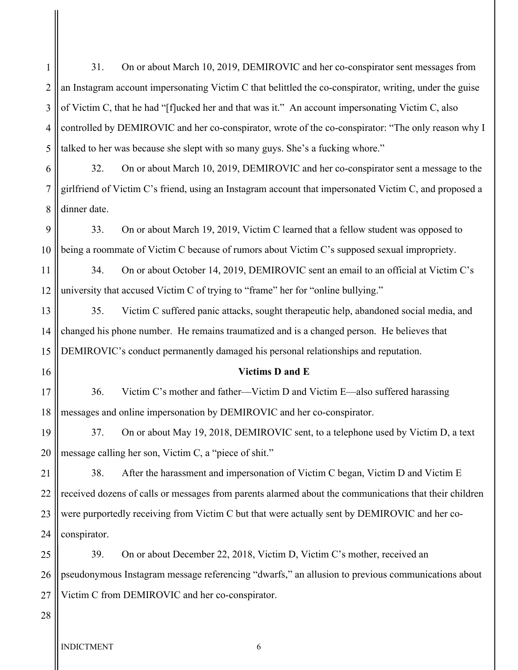1 2 3 4 5 6 7 8  $\overline{Q}$ 31. On or about March 10, 2019, DEMIROVIC and her co-conspirator sent messages from an Instagram account impersonating Victim C that belittled the co-conspirator, writing, under the guise of Victim C, that he had "[f]ucked her and that was it." An account impersonating Victim C, also controlled by DEMIROVIC and her co-conspirator, wrote of the co-conspirator: "The only reason why I talked to her was because she slept with so many guys. She's a fucking whore." 32. On or about March 10, 2019, DEMIROVIC and her co-conspirator sent a message to the girlfriend of Victim C's friend, using an Instagram account that impersonated Victim C, and proposed a dinner date. 33. On or about March 19, 2019, Victim C learned that a fellow student was opposed to

10 being a roommate of Victim C because of rumors about Victim C's supposed sexual impropriety.

11 12 34. On or about October 14, 2019, DEMIROVIC sent an email to an official at Victim C's university that accused Victim C of trying to "frame" her for "online bullying."

13 14 15 35. Victim C suffered panic attacks, sought therapeutic help, abandoned social media, and changed his phone number. He remains traumatized and is a changed person. He believes that DEMIROVIC's conduct permanently damaged his personal relationships and reputation.

16

#### **Victims D and E**

17 18 36. Victim C's mother and father—Victim D and Victim E—also suffered harassing messages and online impersonation by DEMIROVIC and her co-conspirator.

19 20 37. On or about May 19, 2018, DEMIROVIC sent, to a telephone used by Victim D, a text message calling her son, Victim C, a "piece of shit."

21 22 23 24 38. After the harassment and impersonation of Victim C began, Victim D and Victim E received dozens of calls or messages from parents alarmed about the communications that their children were purportedly receiving from Victim C but that were actually sent by DEMIROVIC and her coconspirator.

25 26 27 39. On or about December 22, 2018, Victim D, Victim C's mother, received an pseudonymous Instagram message referencing "dwarfs," an allusion to previous communications about Victim C from DEMIROVIC and her co-conspirator.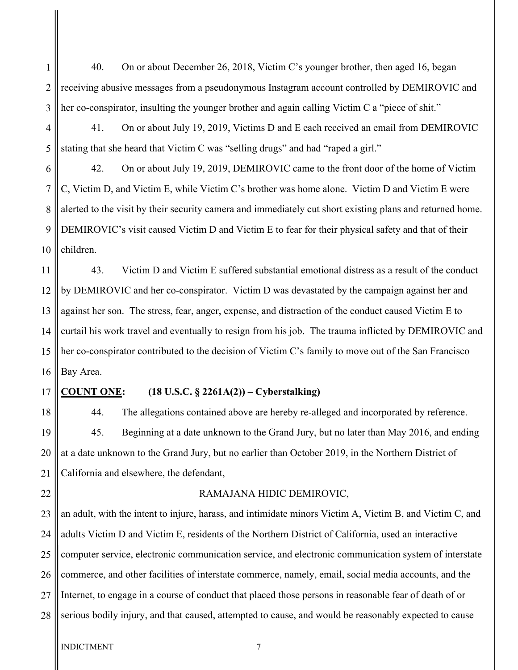1 2 3 40. On or about December 26, 2018, Victim C's younger brother, then aged 16, began receiving abusive messages from a pseudonymous Instagram account controlled by DEMIROVIC and her co-conspirator, insulting the younger brother and again calling Victim C a "piece of shit."

4 5 41. On or about July 19, 2019, Victims D and E each received an email from DEMIROVIC stating that she heard that Victim C was "selling drugs" and had "raped a girl."

6 7 8 9 10 42. On or about July 19, 2019, DEMIROVIC came to the front door of the home of Victim C, Victim D, and Victim E, while Victim C's brother was home alone. Victim D and Victim E were alerted to the visit by their security camera and immediately cut short existing plans and returned home. DEMIROVIC's visit caused Victim D and Victim E to fear for their physical safety and that of their children.

11 12 13 14 15 16 43. Victim D and Victim E suffered substantial emotional distress as a result of the conduct by DEMIROVIC and her co-conspirator. Victim D was devastated by the campaign against her and against her son. The stress, fear, anger, expense, and distraction of the conduct caused Victim E to curtail his work travel and eventually to resign from his job. The trauma inflicted by DEMIROVIC and her co-conspirator contributed to the decision of Victim C's family to move out of the San Francisco Bay Area.

#### 17 **COUNT ONE: (18 U.S.C. § 2261A(2)) – Cyberstalking)**

18 19 20 21 44. The allegations contained above are hereby re-alleged and incorporated by reference. 45. Beginning at a date unknown to the Grand Jury, but no later than May 2016, and ending at a date unknown to the Grand Jury, but no earlier than October 2019, in the Northern District of California and elsewhere, the defendant,

#### 22

### RAMAJANA HIDIC DEMIROVIC,

23 24 25 26 27 28 an adult, with the intent to injure, harass, and intimidate minors Victim A, Victim B, and Victim C, and adults Victim D and Victim E, residents of the Northern District of California, used an interactive computer service, electronic communication service, and electronic communication system of interstate commerce, and other facilities of interstate commerce, namely, email, social media accounts, and the Internet, to engage in a course of conduct that placed those persons in reasonable fear of death of or serious bodily injury, and that caused, attempted to cause, and would be reasonably expected to cause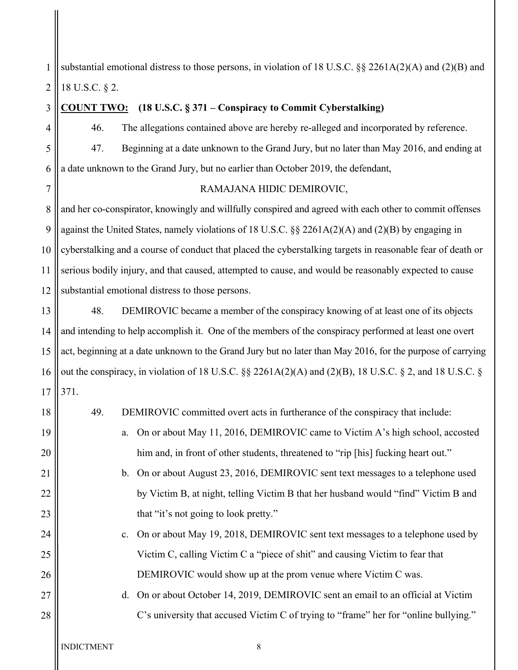1 2 substantial emotional distress to those persons, in violation of 18 U.S.C. §§ 2261A(2)(A) and (2)(B) and 18 U.S.C. § 2.

3 4 5 6 7 8 9 10 11 12 13 14 15 16 17 18 19 20 21 22 23 24 25 26 27 28 **COUNT TWO: (18 U.S.C. § 371 – Conspiracy to Commit Cyberstalking)** 46. The allegations contained above are hereby re-alleged and incorporated by reference. 47. Beginning at a date unknown to the Grand Jury, but no later than May 2016, and ending at a date unknown to the Grand Jury, but no earlier than October 2019, the defendant, RAMAJANA HIDIC DEMIROVIC, and her co-conspirator, knowingly and willfully conspired and agreed with each other to commit offenses against the United States, namely violations of 18 U.S.C. §§ 2261A(2)(A) and (2)(B) by engaging in cyberstalking and a course of conduct that placed the cyberstalking targets in reasonable fear of death or serious bodily injury, and that caused, attempted to cause, and would be reasonably expected to cause substantial emotional distress to those persons. 48. DEMIROVIC became a member of the conspiracy knowing of at least one of its objects and intending to help accomplish it. One of the members of the conspiracy performed at least one overt act, beginning at a date unknown to the Grand Jury but no later than May 2016, for the purpose of carrying out the conspiracy, in violation of 18 U.S.C. §§ 2261A(2)(A) and (2)(B), 18 U.S.C. § 2, and 18 U.S.C. § 371. 49. DEMIROVIC committed overt acts in furtherance of the conspiracy that include: a. On or about May 11, 2016, DEMIROVIC came to Victim A's high school, accosted him and, in front of other students, threatened to "rip [his] fucking heart out." b. On or about August 23, 2016, DEMIROVIC sent text messages to a telephone used by Victim B, at night, telling Victim B that her husband would "find" Victim B and that "it's not going to look pretty." c. On or about May 19, 2018, DEMIROVIC sent text messages to a telephone used by Victim C, calling Victim C a "piece of shit" and causing Victim to fear that DEMIROVIC would show up at the prom venue where Victim C was. d. On or about October 14, 2019, DEMIROVIC sent an email to an official at Victim C's university that accused Victim C of trying to "frame" her for "online bullying."